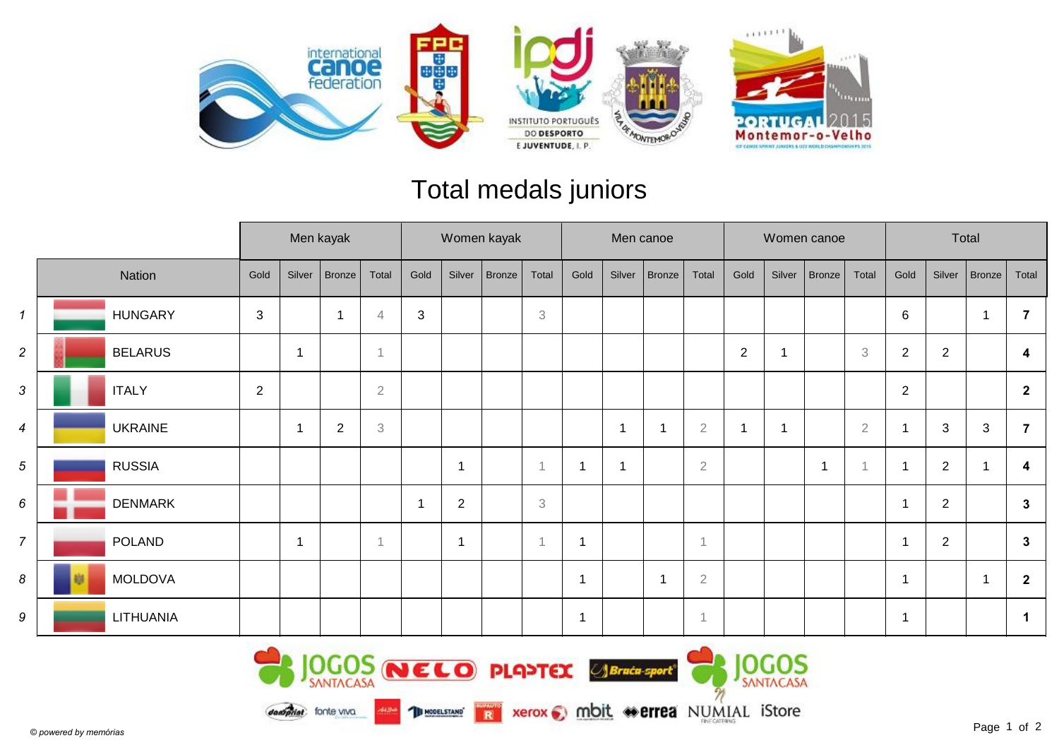

## Total medals juniors

|                |                |                |        | Men kayak      |                          | Women kayak |                |        |                           |                         | Men canoe |        |                |                |        | Women canoe    |                           | Total                   |                |            |                |  |
|----------------|----------------|----------------|--------|----------------|--------------------------|-------------|----------------|--------|---------------------------|-------------------------|-----------|--------|----------------|----------------|--------|----------------|---------------------------|-------------------------|----------------|------------|----------------|--|
|                | Nation         | Gold           | Silver | Bronze         | Total                    | Gold        | Silver         | Bronze | Total                     | Gold                    | Silver    | Bronze | Total          | Gold           | Silver | Bronze         | Total                     | Gold                    | Silver         | Bronze     | Total          |  |
| $\mathbf{1}$   | <b>HUNGARY</b> | $\mathbf{3}$   |        | -1             | 4                        | $\sqrt{3}$  |                |        | 3                         |                         |           |        |                |                |        |                |                           | $6\phantom{.}6$         |                | -1         |                |  |
| $\overline{a}$ | <b>BELARUS</b> |                | -1     |                | $\overline{\phantom{a}}$ |             |                |        |                           |                         |           |        |                | $\overline{2}$ |        |                | $\ensuremath{\mathsf{3}}$ | $\sqrt{2}$              | 2              |            | 4              |  |
| 3              | <b>ITALY</b>   | $\overline{2}$ |        |                | $\overline{2}$           |             |                |        |                           |                         |           |        |                |                |        |                |                           | $\overline{2}$          |                |            | $\overline{2}$ |  |
| $\overline{4}$ | <b>UKRAINE</b> |                | -1     | $\overline{2}$ | 3                        |             |                |        |                           |                         | 1         | -1     | $\overline{2}$ | 1              |        |                | $\overline{2}$            |                         | 3              | $\sqrt{3}$ |                |  |
| 5              | <b>RUSSIA</b>  |                |        |                |                          |             |                |        | -1                        |                         | 1         |        | $\overline{2}$ |                |        | $\overline{1}$ |                           | $\overline{\mathbf{1}}$ | $\sqrt{2}$     |            | 4              |  |
| 6              | <b>DENMARK</b> |                |        |                |                          | 1           | $\overline{2}$ |        | $\ensuremath{\mathsf{3}}$ |                         |           |        |                |                |        |                |                           |                         | $\overline{2}$ |            | $\mathbf{3}$   |  |
| $\overline{7}$ | <b>POLAND</b>  |                | -1     |                | $\overline{1}$           |             | $\mathbf{1}$   |        |                           | $\overline{1}$          |           |        | $\overline{1}$ |                |        |                |                           | $\overline{\mathbf{1}}$ | $\overline{2}$ |            | $\mathbf{3}$   |  |
| 8              | <b>MOLDOVA</b> |                |        |                |                          |             |                |        |                           | $\overline{\mathbf{1}}$ |           | -1     | $\sqrt{2}$     |                |        |                |                           |                         |                | f          | $\overline{2}$ |  |
| 9              | LITHUANIA      |                |        |                |                          |             |                |        |                           | $\overline{1}$          |           |        | $\overline{1}$ |                |        |                |                           |                         |                |            | 1              |  |

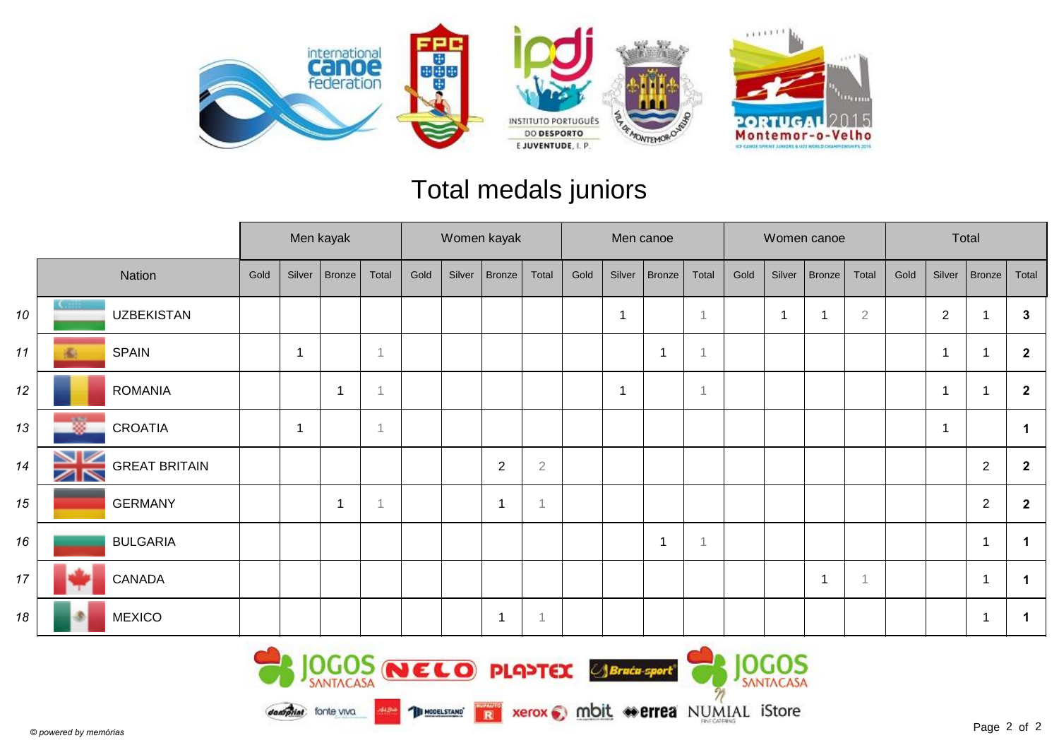

## Total medals juniors

|    |                                           | Men kayak |        | Women kayak   |       |      |        |              |                | Men canoe |              |               |                | Women canoe |        | Total  |                |      |                |                  |                |
|----|-------------------------------------------|-----------|--------|---------------|-------|------|--------|--------------|----------------|-----------|--------------|---------------|----------------|-------------|--------|--------|----------------|------|----------------|------------------|----------------|
|    | Nation                                    | Gold      | Silver | <b>Bronze</b> | Total | Gold | Silver | Bronze       | Total          | Gold      | Silver       | <b>Bronze</b> | Total          | Gold        | Silver | Bronze | Total          | Gold | Silver         | Bronze           | Total          |
| 10 | <b>UZBEKISTAN</b>                         |           |        |               |       |      |        |              |                |           | $\mathbf{1}$ |               | 1              |             |        | -1     | $\overline{2}$ |      | $\overline{2}$ |                  | $\mathbf{3}$   |
| 11 | <b>SPAIN</b><br>瘉                         |           |        |               |       |      |        |              |                |           |              |               | $\overline{1}$ |             |        |        |                |      | 1              |                  | $\overline{2}$ |
| 12 | <b>ROMANIA</b>                            |           |        |               |       |      |        |              |                |           | $\mathbf{1}$ |               | $\overline{1}$ |             |        |        |                |      | 1              |                  | $\overline{2}$ |
| 13 | 嫐<br><b>CROATIA</b>                       |           | -1     |               |       |      |        |              |                |           |              |               |                |             |        |        |                |      | 1              |                  | -1             |
| 14 | VZ<br><b>GREAT BRITAIN</b><br>$\boxtimes$ |           |        |               |       |      |        | $\sqrt{2}$   | $\overline{2}$ |           |              |               |                |             |        |        |                |      |                | $\boldsymbol{2}$ | $\mathbf{2}$   |
| 15 | <b>GERMANY</b>                            |           |        | -1            |       |      |        | $\mathbf{1}$ |                |           |              |               |                |             |        |        |                |      |                | $\boldsymbol{2}$ | $\overline{2}$ |
| 16 | <b>BULGARIA</b>                           |           |        |               |       |      |        |              |                |           |              |               | $\overline{1}$ |             |        |        |                |      |                | $\overline{1}$   |                |
| 17 | CANADA                                    |           |        |               |       |      |        |              |                |           |              |               |                |             |        | 1      |                |      |                | r.               |                |
| 18 | <b>MEXICO</b>                             |           |        |               |       |      |        | $\mathbf{1}$ |                |           |              |               |                |             |        |        |                |      |                | $\overline{1}$   |                |

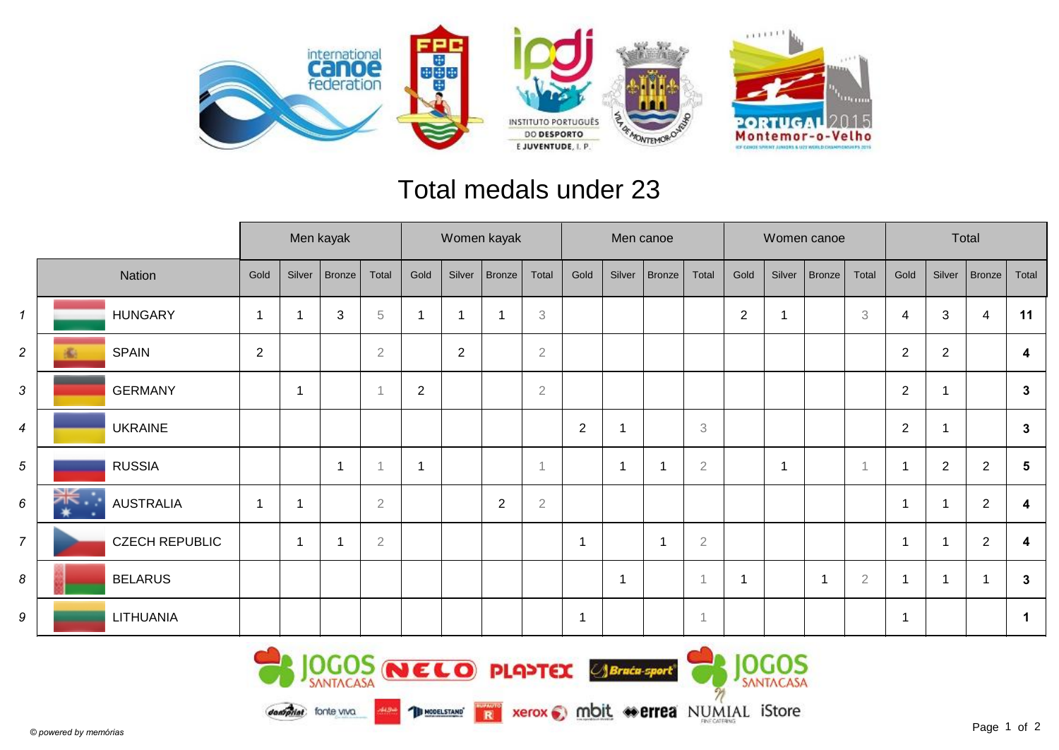

## Total medals under 23

|                |                       |                |                          | Men kayak |                | Women kayak    |                |                |                |                          | Men canoe    |               |                |              |                | Women canoe |                | Total                   |                          |                |              |
|----------------|-----------------------|----------------|--------------------------|-----------|----------------|----------------|----------------|----------------|----------------|--------------------------|--------------|---------------|----------------|--------------|----------------|-------------|----------------|-------------------------|--------------------------|----------------|--------------|
|                | Nation                | Gold           | Silver                   | Bronze    | Total          | Gold           | Silver         | Bronze         | Total          | Gold                     | Silver       | <b>Bronze</b> | Total          | Gold         | Silver         | Bronze      | Total          | Gold                    | Silver                   | $ $ Bronze $ $ | Total        |
| $\mathbf{1}$   | <b>HUNGARY</b>        |                |                          | 3         | $\,$ 5         | -1             | $\overline{1}$ |                | 3              |                          |              |               |                | $\mathbf{2}$ |                |             | 3              | 4                       | 3                        | 4              | 11           |
| $\overline{c}$ | <b>SPAIN</b>          | $\overline{2}$ |                          |           | $\overline{2}$ |                | $\overline{2}$ |                | $\overline{2}$ |                          |              |               |                |              |                |             |                | $\overline{2}$          | $\overline{2}$           |                | 4            |
| 3              | <b>GERMANY</b>        |                | $\overline{\phantom{a}}$ |           | $\overline{1}$ | $\overline{2}$ |                |                | $\overline{2}$ |                          |              |               |                |              |                |             |                | $\overline{2}$          |                          |                | 3            |
| $\overline{4}$ | <b>UKRAINE</b>        |                |                          |           |                |                |                |                |                | $\mathbf 2$              | -1           |               | 3              |              |                |             |                | $\overline{2}$          |                          |                | $\mathbf{3}$ |
| 5              | <b>RUSSIA</b>         |                |                          | 1         |                | $\overline{1}$ |                |                | 1              |                          | $\mathbf{1}$ |               | $\sqrt{2}$     |              | $\overline{1}$ |             | $\overline{1}$ | $\mathbf 1$             | $\overline{2}$           | $\overline{2}$ | 5            |
| 6              | <b>AUSTRALIA</b>      | -1             | 4                        |           | $\overline{2}$ |                |                | $\overline{2}$ | $\sqrt{2}$     |                          |              |               |                |              |                |             |                | $\mathbf{1}$            |                          | $\overline{2}$ | 4            |
| $\overline{7}$ | <b>CZECH REPUBLIC</b> |                | -1                       | -1        | $\overline{2}$ |                |                |                |                | -1                       |              | 1             | $\sqrt{2}$     |              |                |             |                | $\overline{\mathbf{1}}$ | $\overline{\phantom{a}}$ | $\overline{2}$ | 4            |
| 8              | <b>BELARUS</b>        |                |                          |           |                |                |                |                |                |                          | -1           |               |                |              |                | -1          | $\overline{2}$ | $\mathbf 1$             |                          |                | 3            |
| 9              | LITHUANIA             |                |                          |           |                |                |                |                |                | $\overline{\phantom{a}}$ |              |               | $\overline{1}$ |              |                |             |                | $\mathbf 1$             |                          |                |              |